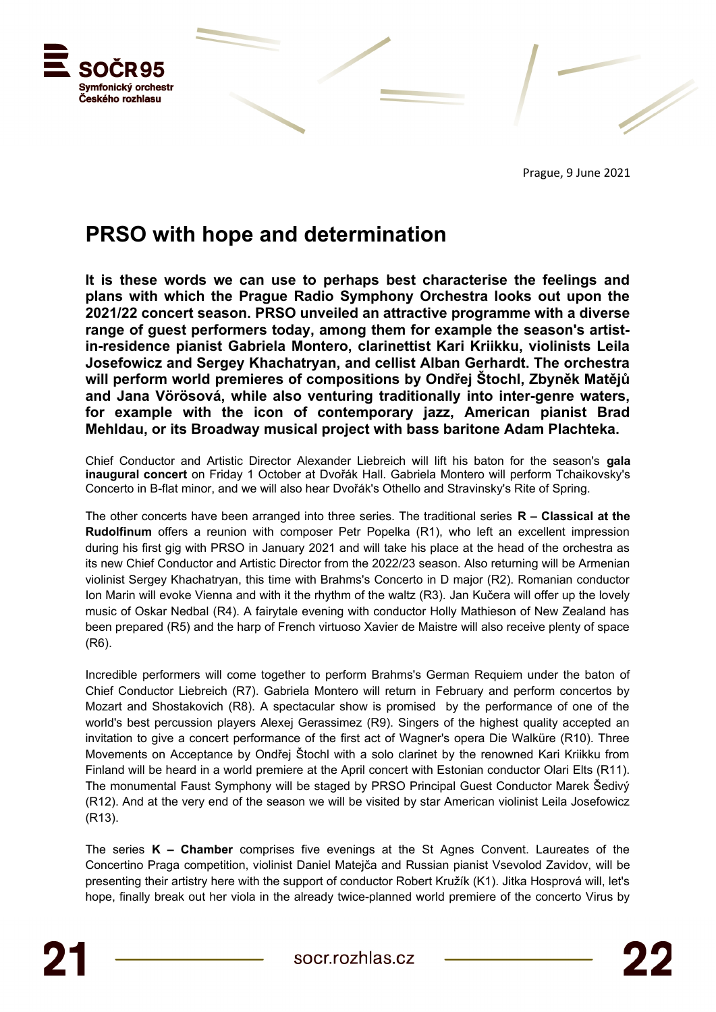

Prague, 9 June 2021

## **PRSO with hope and determination**

**It is these words we can use to perhaps best characterise the feelings and plans with which the Prague Radio Symphony Orchestra looks out upon the 2021/22 concert season. PRSO unveiled an attractive programme with a diverse range of guest performers today, among them for example the season's artistin-residence pianist Gabriela Montero, clarinettist Kari Kriikku, violinists Leila Josefowicz and Sergey Khachatryan, and cellist Alban Gerhardt. The orchestra will perform world premieres of compositions by Ondřej Štochl, Zbyněk Matějů and Jana Vörösová, while also venturing traditionally into inter-genre waters, for example with the icon of contemporary jazz, American pianist Brad Mehldau, or its Broadway musical project with bass baritone Adam Plachteka.** 

Chief Conductor and Artistic Director Alexander Liebreich will lift his baton for the season's **gala inaugural concert** on Friday 1 October at Dvořák Hall. Gabriela Montero will perform Tchaikovsky's Concerto in B-flat minor, and we will also hear Dvořák's Othello and Stravinsky's Rite of Spring.

The other concerts have been arranged into three series. The traditional series **R – Classical at the Rudolfinum** offers a reunion with composer Petr Popelka (R1), who left an excellent impression during his first gig with PRSO in January 2021 and will take his place at the head of the orchestra as its new Chief Conductor and Artistic Director from the 2022/23 season. Also returning will be Armenian violinist Sergey Khachatryan, this time with Brahms's Concerto in D major (R2). Romanian conductor Ion Marin will evoke Vienna and with it the rhythm of the waltz (R3). Jan Kučera will offer up the lovely music of Oskar Nedbal (R4). A fairytale evening with conductor Holly Mathieson of New Zealand has been prepared (R5) and the harp of French virtuoso Xavier de Maistre will also receive plenty of space (R6).

Incredible performers will come together to perform Brahms's German Requiem under the baton of Chief Conductor Liebreich (R7). Gabriela Montero will return in February and perform concertos by Mozart and Shostakovich (R8). A spectacular show is promised by the performance of one of the world's best percussion players Alexej Gerassimez (R9). Singers of the highest quality accepted an invitation to give a concert performance of the first act of Wagner's opera Die Walküre (R10). Three Movements on Acceptance by Ondřej Štochl with a solo clarinet by the renowned Kari Kriikku from Finland will be heard in a world premiere at the April concert with Estonian conductor Olari Elts (R11). The monumental Faust Symphony will be staged by PRSO Principal Guest Conductor Marek Šedivý (R12). And at the very end of the season we will be visited by star American violinist Leila Josefowicz (R13).

The series **K – Chamber** comprises five evenings at the St Agnes Convent. Laureates of the Concertino Praga competition, violinist Daniel Matejča and Russian pianist Vsevolod Zavidov, will be presenting their artistry here with the support of conductor Robert Kružík (K1). Jitka Hosprová will, let's hope, finally break out her viola in the already twice-planned world premiere of the concerto Virus by